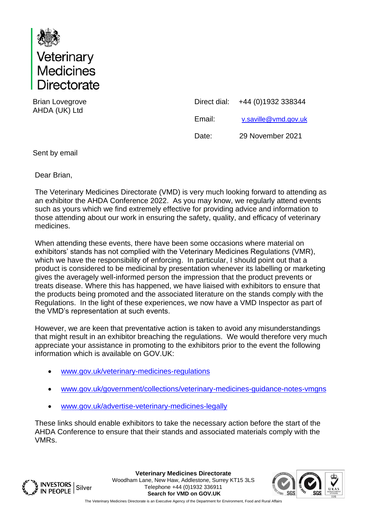

Brian Lovegrove AHDA (UK) Ltd

| Direct dial: | +44 (0)1932 338344   |
|--------------|----------------------|
| Email:       | v.saville@vmd.gov.uk |
| Date:        | 29 November 2021     |

Sent by email

Dear Brian,

The Veterinary Medicines Directorate (VMD) is very much looking forward to attending as an exhibitor the AHDA Conference 2022. As you may know, we regularly attend events such as yours which we find extremely effective for providing advice and information to those attending about our work in ensuring the safety, quality, and efficacy of veterinary medicines.

When attending these events, there have been some occasions where material on exhibitors' stands has not complied with the Veterinary Medicines Regulations (VMR), which we have the responsibility of enforcing. In particular, I should point out that a product is considered to be medicinal by presentation whenever its labelling or marketing gives the averagely well-informed person the impression that the product prevents or treats disease. Where this has happened, we have liaised with exhibitors to ensure that the products being promoted and the associated literature on the stands comply with the Regulations. In the light of these experiences, we now have a VMD Inspector as part of the VMD's representation at such events.

However, we are keen that preventative action is taken to avoid any misunderstandings that might result in an exhibitor breaching the regulations. We would therefore very much appreciate your assistance in promoting to the exhibitors prior to the event the following information which is available on GOV.UK:

- [www.gov.uk/veterinary-medicines-regulations](http://www.gov.uk/veterinary-medicines-regulations)
- [www.gov.uk/government/collections/veterinary-medicines-guidance-notes-vmgns](http://www.gov.uk/government/collections/veterinary-medicines-guidance-notes-vmgns)
- [www.gov.uk/advertise-veterinary-medicines-legally](http://www.gov.uk/advertise-veterinary-medicines-legally)

These links should enable exhibitors to take the necessary action before the start of the AHDA Conference to ensure that their stands and associated materials comply with the VMRs.



**Veterinary Medicines Directorate** Woodham Lane, New Haw, Addlestone, Surrey KT15 3LS Telephone +44 (0)1932 336911 **Search for VMD on GOV.UK**